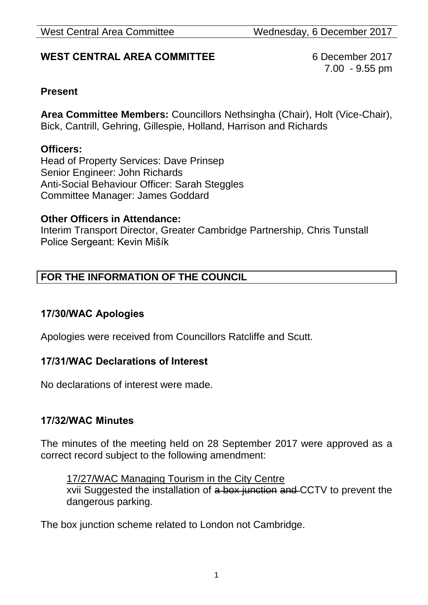# **WEST CENTRAL AREA COMMITTEE** 6 December 2017

7.00 - 9.55 pm

### **Present**

**Area Committee Members:** Councillors Nethsingha (Chair), Holt (Vice-Chair), Bick, Cantrill, Gehring, Gillespie, Holland, Harrison and Richards

#### **Officers:**

Head of Property Services: Dave Prinsep Senior Engineer: John Richards Anti-Social Behaviour Officer: Sarah Steggles Committee Manager: James Goddard

#### **Other Officers in Attendance:**

Interim Transport Director, Greater Cambridge Partnership, Chris Tunstall Police Sergeant: Kevin Mišík

# **FOR THE INFORMATION OF THE COUNCIL**

#### **17/30/WAC Apologies**

Apologies were received from Councillors Ratcliffe and Scutt.

#### **17/31/WAC Declarations of Interest**

No declarations of interest were made.

#### **17/32/WAC Minutes**

The minutes of the meeting held on 28 September 2017 were approved as a correct record subject to the following amendment:

17/27/WAC Managing Tourism in the City Centre xvii Suggested the installation of a box junction and CCTV to prevent the dangerous parking.

The box junction scheme related to London not Cambridge.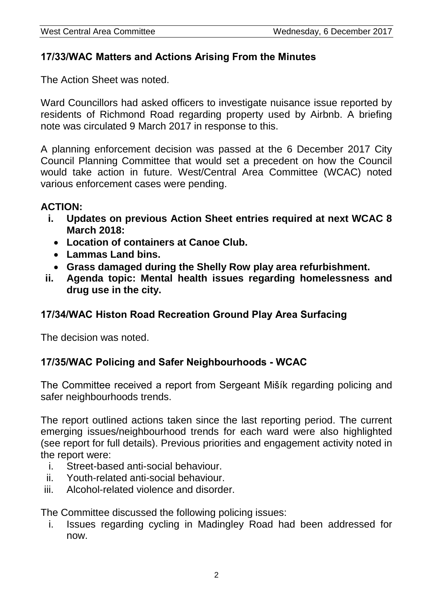### **17/33/WAC Matters and Actions Arising From the Minutes**

The Action Sheet was noted.

Ward Councillors had asked officers to investigate nuisance issue reported by residents of Richmond Road regarding property used by Airbnb. A briefing note was circulated 9 March 2017 in response to this.

A planning enforcement decision was passed at the 6 December 2017 City Council Planning Committee that would set a precedent on how the Council would take action in future. West/Central Area Committee (WCAC) noted various enforcement cases were pending.

### **ACTION:**

- **i. Updates on previous Action Sheet entries required at next WCAC 8 March 2018:**
	- **Location of containers at Canoe Club.**
	- **Lammas Land bins.**
	- **Grass damaged during the Shelly Row play area refurbishment.**
- **ii. Agenda topic: Mental health issues regarding homelessness and drug use in the city.**

# **17/34/WAC Histon Road Recreation Ground Play Area Surfacing**

The decision was noted.

# **17/35/WAC Policing and Safer Neighbourhoods - WCAC**

The Committee received a report from Sergeant Mišík regarding policing and safer neighbourhoods trends.

The report outlined actions taken since the last reporting period. The current emerging issues/neighbourhood trends for each ward were also highlighted (see report for full details). Previous priorities and engagement activity noted in the report were:

- i. Street-based anti-social behaviour.
- ii. Youth-related anti-social behaviour.
- iii. Alcohol-related violence and disorder.

The Committee discussed the following policing issues:

i. Issues regarding cycling in Madingley Road had been addressed for now.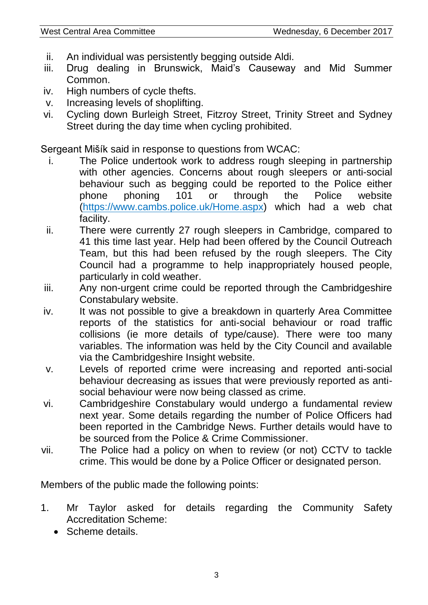- ii. An individual was persistently begging outside Aldi.
- iii. Drug dealing in Brunswick, Maid's Causeway and Mid Summer Common.
- iv. High numbers of cycle thefts.
- v. Increasing levels of shoplifting.
- vi. Cycling down Burleigh Street, Fitzroy Street, Trinity Street and Sydney Street during the day time when cycling prohibited.

Sergeant Mišík said in response to questions from WCAC:

- i. The Police undertook work to address rough sleeping in partnership with other agencies. Concerns about rough sleepers or anti-social behaviour such as begging could be reported to the Police either phone phoning 101 or through the Police website [\(https://www.cambs.police.uk/Home.aspx\)](https://www.cambs.police.uk/Home.aspx) which had a web chat facility.
- ii. There were currently 27 rough sleepers in Cambridge, compared to 41 this time last year. Help had been offered by the Council Outreach Team, but this had been refused by the rough sleepers. The City Council had a programme to help inappropriately housed people, particularly in cold weather.
- iii. Any non-urgent crime could be reported through the Cambridgeshire Constabulary website.
- iv. It was not possible to give a breakdown in quarterly Area Committee reports of the statistics for anti-social behaviour or road traffic collisions (ie more details of type/cause). There were too many variables. The information was held by the City Council and available via the Cambridgeshire Insight website.
- v. Levels of reported crime were increasing and reported anti-social behaviour decreasing as issues that were previously reported as antisocial behaviour were now being classed as crime.
- vi. Cambridgeshire Constabulary would undergo a fundamental review next year. Some details regarding the number of Police Officers had been reported in the Cambridge News. Further details would have to be sourced from the Police & Crime Commissioner.
- vii. The Police had a policy on when to review (or not) CCTV to tackle crime. This would be done by a Police Officer or designated person.

Members of the public made the following points:

- 1. Mr Taylor asked for details regarding the Community Safety Accreditation Scheme:
	- Scheme details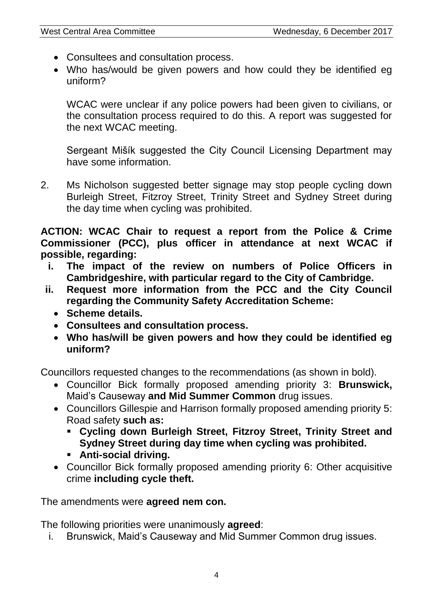- Consultees and consultation process.
- Who has/would be given powers and how could they be identified eg uniform?

WCAC were unclear if any police powers had been given to civilians, or the consultation process required to do this. A report was suggested for the next WCAC meeting.

Sergeant Mišík suggested the City Council Licensing Department may have some information.

2. Ms Nicholson suggested better signage may stop people cycling down Burleigh Street, Fitzroy Street, Trinity Street and Sydney Street during the day time when cycling was prohibited.

**ACTION: WCAC Chair to request a report from the Police & Crime Commissioner (PCC), plus officer in attendance at next WCAC if possible, regarding:**

- **i. The impact of the review on numbers of Police Officers in Cambridgeshire, with particular regard to the City of Cambridge.**
- **ii. Request more information from the PCC and the City Council regarding the Community Safety Accreditation Scheme:**
	- **Scheme details.**
	- **Consultees and consultation process.**
	- **Who has/will be given powers and how they could be identified eg uniform?**

Councillors requested changes to the recommendations (as shown in bold).

- Councillor Bick formally proposed amending priority 3: **Brunswick,** Maid's Causeway **and Mid Summer Common** drug issues.
- Councillors Gillespie and Harrison formally proposed amending priority 5: Road safety **such as:**
	- **Cycling down Burleigh Street, Fitzroy Street, Trinity Street and Sydney Street during day time when cycling was prohibited.**
	- **Anti-social driving.**
- Councillor Bick formally proposed amending priority 6: Other acquisitive crime **including cycle theft.**

The amendments were **agreed nem con.**

The following priorities were unanimously **agreed**:

i. Brunswick, Maid's Causeway and Mid Summer Common drug issues.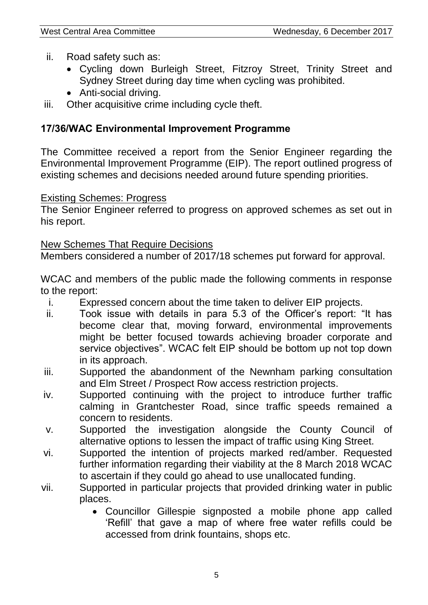- ii. Road safety such as:
	- Cycling down Burleigh Street, Fitzroy Street, Trinity Street and Sydney Street during day time when cycling was prohibited.
	- Anti-social driving.
- iii. Other acquisitive crime including cycle theft.

# **17/36/WAC Environmental Improvement Programme**

The Committee received a report from the Senior Engineer regarding the Environmental Improvement Programme (EIP). The report outlined progress of existing schemes and decisions needed around future spending priorities.

### Existing Schemes: Progress

The Senior Engineer referred to progress on approved schemes as set out in his report.

### New Schemes That Require Decisions

Members considered a number of 2017/18 schemes put forward for approval.

WCAC and members of the public made the following comments in response to the report:

- i. Expressed concern about the time taken to deliver EIP projects.
- ii. Took issue with details in para 5.3 of the Officer's report: "It has become clear that, moving forward, environmental improvements might be better focused towards achieving broader corporate and service objectives". WCAC felt EIP should be bottom up not top down in its approach.
- iii. Supported the abandonment of the Newnham parking consultation and Elm Street / Prospect Row access restriction projects.
- iv. Supported continuing with the project to introduce further traffic calming in Grantchester Road, since traffic speeds remained a concern to residents.
- v. Supported the investigation alongside the County Council of alternative options to lessen the impact of traffic using King Street.
- vi. Supported the intention of projects marked red/amber. Requested further information regarding their viability at the 8 March 2018 WCAC to ascertain if they could go ahead to use unallocated funding.
- vii. Supported in particular projects that provided drinking water in public places.
	- Councillor Gillespie signposted a mobile phone app called 'Refill' that gave a map of where free water refills could be accessed from drink fountains, shops etc.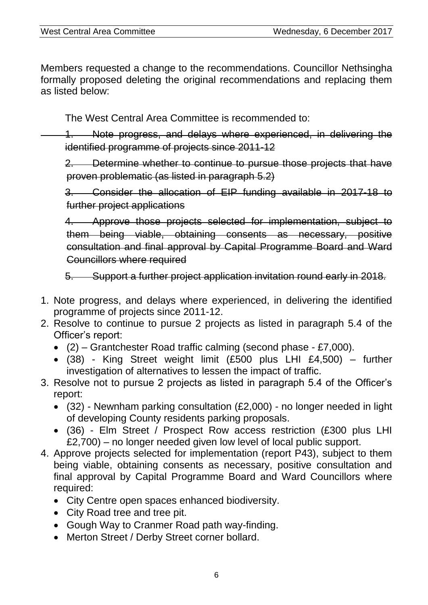Members requested a change to the recommendations. Councillor Nethsingha formally proposed deleting the original recommendations and replacing them as listed below:

The West Central Area Committee is recommended to:

1. Note progress, and delays where experienced, in delivering the identified programme of projects since 2011-12

2. Determine whether to continue to pursue those projects that have proven problematic (as listed in paragraph 5.2)

3. Consider the allocation of EIP funding available in 2017-18 to further project applications

4. Approve those projects selected for implementation, subject to them being viable, obtaining consents as necessary, positive consultation and final approval by Capital Programme Board and Ward Councillors where required

5. Support a further project application invitation round early in 2018.

- 1. Note progress, and delays where experienced, in delivering the identified programme of projects since 2011-12.
- 2. Resolve to continue to pursue 2 projects as listed in paragraph 5.4 of the Officer's report:
	- $(2)$  Grantchester Road traffic calming (second phase £7,000).
	- (38) King Street weight limit (£500 plus LHI £4,500) further investigation of alternatives to lessen the impact of traffic.
- 3. Resolve not to pursue 2 projects as listed in paragraph 5.4 of the Officer's report:
	- (32) Newnham parking consultation (£2,000) no longer needed in light of developing County residents parking proposals.
	- (36) Elm Street / Prospect Row access restriction (£300 plus LHI £2,700) – no longer needed given low level of local public support.
- 4. Approve projects selected for implementation (report P43), subject to them being viable, obtaining consents as necessary, positive consultation and final approval by Capital Programme Board and Ward Councillors where required:
	- City Centre open spaces enhanced biodiversity.
	- City Road tree and tree pit.
	- Gough Way to Cranmer Road path way-finding.
	- Merton Street / Derby Street corner bollard.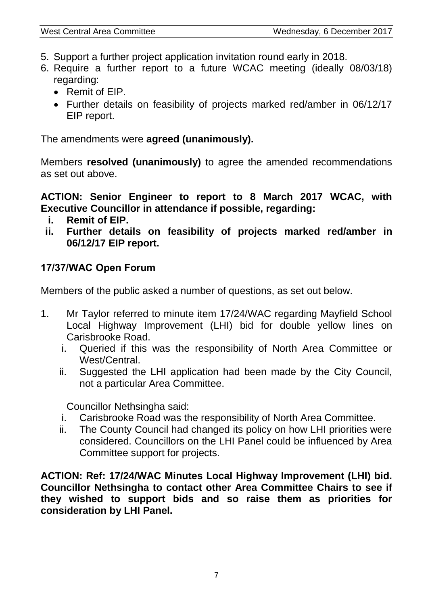- 5. Support a further project application invitation round early in 2018.
- 6. Require a further report to a future WCAC meeting (ideally 08/03/18) regarding:
	- Remit of EIP.
	- Further details on feasibility of projects marked red/amber in 06/12/17 EIP report.

The amendments were **agreed (unanimously).**

Members **resolved (unanimously)** to agree the amended recommendations as set out above.

**ACTION: Senior Engineer to report to 8 March 2017 WCAC, with Executive Councillor in attendance if possible, regarding:**

- **i. Remit of EIP.**
- **ii. Further details on feasibility of projects marked red/amber in 06/12/17 EIP report.**

# **17/37/WAC Open Forum**

Members of the public asked a number of questions, as set out below.

- 1. Mr Taylor referred to minute item 17/24/WAC regarding Mayfield School Local Highway Improvement (LHI) bid for double yellow lines on Carisbrooke Road.
	- i. Queried if this was the responsibility of North Area Committee or West/Central.
	- ii. Suggested the LHI application had been made by the City Council, not a particular Area Committee.

Councillor Nethsingha said:

- i. Carisbrooke Road was the responsibility of North Area Committee.
- ii. The County Council had changed its policy on how LHI priorities were considered. Councillors on the LHI Panel could be influenced by Area Committee support for projects.

**ACTION: Ref: 17/24/WAC Minutes Local Highway Improvement (LHI) bid. Councillor Nethsingha to contact other Area Committee Chairs to see if they wished to support bids and so raise them as priorities for consideration by LHI Panel.**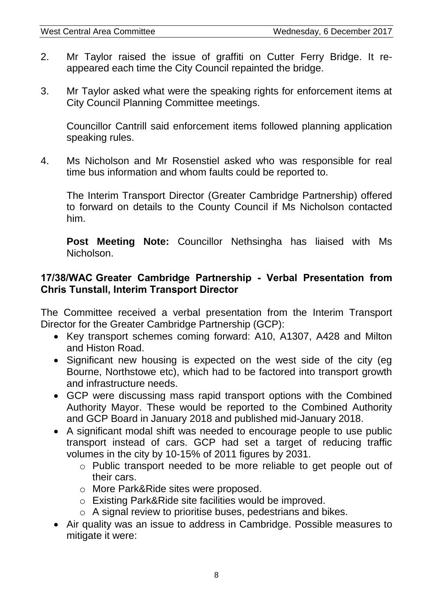- 2. Mr Taylor raised the issue of graffiti on Cutter Ferry Bridge. It reappeared each time the City Council repainted the bridge.
- 3. Mr Taylor asked what were the speaking rights for enforcement items at City Council Planning Committee meetings.

Councillor Cantrill said enforcement items followed planning application speaking rules.

4. Ms Nicholson and Mr Rosenstiel asked who was responsible for real time bus information and whom faults could be reported to.

The Interim Transport Director (Greater Cambridge Partnership) offered to forward on details to the County Council if Ms Nicholson contacted him.

**Post Meeting Note:** Councillor Nethsingha has liaised with Ms Nicholson.

### **17/38/WAC Greater Cambridge Partnership - Verbal Presentation from Chris Tunstall, Interim Transport Director**

The Committee received a verbal presentation from the Interim Transport Director for the Greater Cambridge Partnership (GCP):

- Key transport schemes coming forward: A10, A1307, A428 and Milton and Histon Road.
- Significant new housing is expected on the west side of the city (eg Bourne, Northstowe etc), which had to be factored into transport growth and infrastructure needs.
- GCP were discussing mass rapid transport options with the Combined Authority Mayor. These would be reported to the Combined Authority and GCP Board in January 2018 and published mid-January 2018.
- A significant modal shift was needed to encourage people to use public transport instead of cars. GCP had set a target of reducing traffic volumes in the city by 10-15% of 2011 figures by 2031.
	- o Public transport needed to be more reliable to get people out of their cars.
	- o More Park&Ride sites were proposed.
	- o Existing Park&Ride site facilities would be improved.
	- o A signal review to prioritise buses, pedestrians and bikes.
- Air quality was an issue to address in Cambridge. Possible measures to mitigate it were: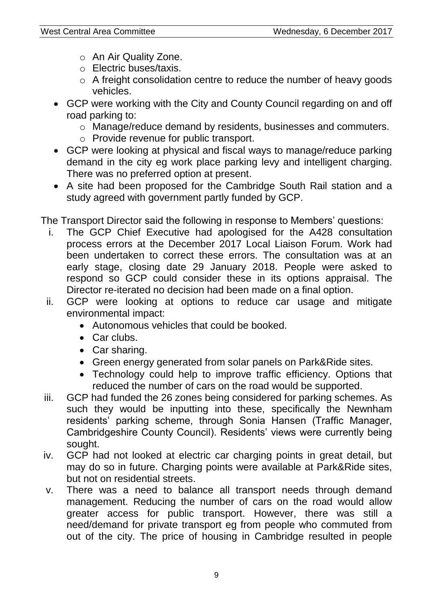- o An Air Quality Zone.
- o Electric buses/taxis.
- o A freight consolidation centre to reduce the number of heavy goods vehicles.
- GCP were working with the City and County Council regarding on and off road parking to:
	- o Manage/reduce demand by residents, businesses and commuters.
	- o Provide revenue for public transport.
- GCP were looking at physical and fiscal ways to manage/reduce parking demand in the city eg work place parking levy and intelligent charging. There was no preferred option at present.
- A site had been proposed for the Cambridge South Rail station and a study agreed with government partly funded by GCP.

The Transport Director said the following in response to Members' questions:

- i. The GCP Chief Executive had apologised for the A428 consultation process errors at the December 2017 Local Liaison Forum. Work had been undertaken to correct these errors. The consultation was at an early stage, closing date 29 January 2018. People were asked to respond so GCP could consider these in its options appraisal. The Director re-iterated no decision had been made on a final option.
- ii. GCP were looking at options to reduce car usage and mitigate environmental impact:
	- Autonomous vehicles that could be booked.
	- Car clubs.
	- Car sharing.
	- Green energy generated from solar panels on Park&Ride sites.
	- Technology could help to improve traffic efficiency. Options that reduced the number of cars on the road would be supported.
- iii. GCP had funded the 26 zones being considered for parking schemes. As such they would be inputting into these, specifically the Newnham residents' parking scheme, through Sonia Hansen (Traffic Manager, Cambridgeshire County Council). Residents' views were currently being sought.
- iv. GCP had not looked at electric car charging points in great detail, but may do so in future. Charging points were available at Park&Ride sites, but not on residential streets.
- v. There was a need to balance all transport needs through demand management. Reducing the number of cars on the road would allow greater access for public transport. However, there was still a need/demand for private transport eg from people who commuted from out of the city. The price of housing in Cambridge resulted in people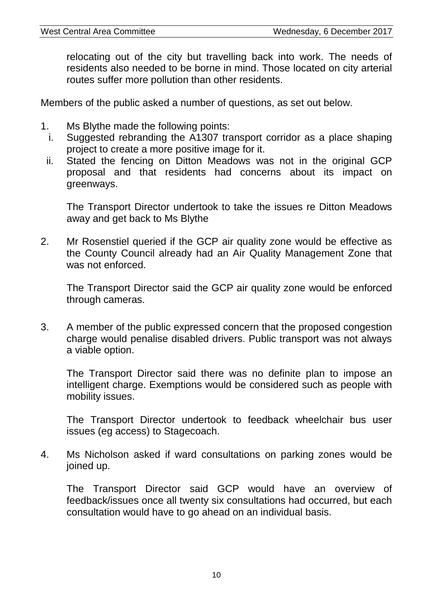relocating out of the city but travelling back into work. The needs of residents also needed to be borne in mind. Those located on city arterial routes suffer more pollution than other residents.

Members of the public asked a number of questions, as set out below.

- 1. Ms Blythe made the following points:
	- i. Suggested rebranding the A1307 transport corridor as a place shaping project to create a more positive image for it.
	- ii. Stated the fencing on Ditton Meadows was not in the original GCP proposal and that residents had concerns about its impact on greenways.

The Transport Director undertook to take the issues re Ditton Meadows away and get back to Ms Blythe

2. Mr Rosenstiel queried if the GCP air quality zone would be effective as the County Council already had an Air Quality Management Zone that was not enforced.

The Transport Director said the GCP air quality zone would be enforced through cameras.

3. A member of the public expressed concern that the proposed congestion charge would penalise disabled drivers. Public transport was not always a viable option.

The Transport Director said there was no definite plan to impose an intelligent charge. Exemptions would be considered such as people with mobility issues.

The Transport Director undertook to feedback wheelchair bus user issues (eg access) to Stagecoach.

4. Ms Nicholson asked if ward consultations on parking zones would be joined up.

The Transport Director said GCP would have an overview of feedback/issues once all twenty six consultations had occurred, but each consultation would have to go ahead on an individual basis.